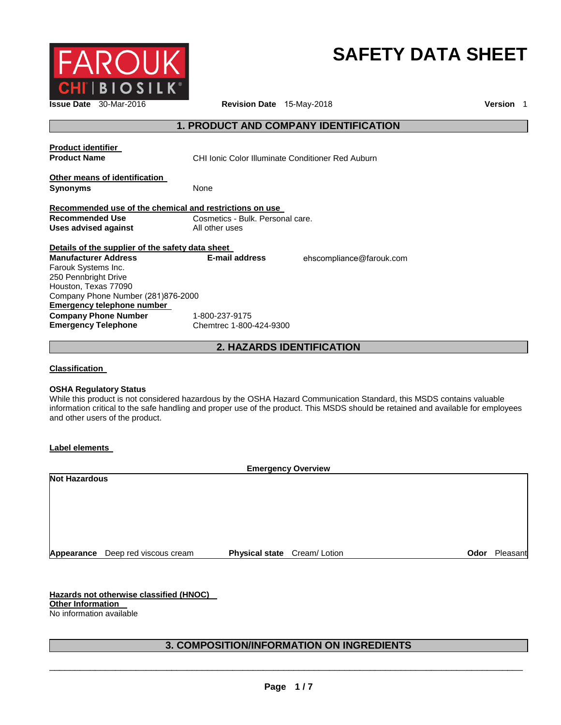

# **SAFETY DATA SHEET**

**Issue Date** 30-Mar-2016 **Revision Date** 15-May-2018 **Version** 1

# **1. PRODUCT AND COMPANY IDENTIFICATION**

| <b>Product identifier</b><br><b>Product Name</b>                 | CHI Ionic Color Illuminate Conditioner Red Auburn |                          |
|------------------------------------------------------------------|---------------------------------------------------|--------------------------|
| Other means of identification<br><b>Synonyms</b>                 | None                                              |                          |
| Recommended use of the chemical and restrictions on use          |                                                   |                          |
| Recommended Use                                                  | Cosmetics - Bulk. Personal care.                  |                          |
| Uses advised against                                             | All other uses                                    |                          |
| Details of the supplier of the safety data sheet                 |                                                   |                          |
| <b>Manufacturer Address</b>                                      | E-mail address                                    | ehscompliance@farouk.com |
| Farouk Systems Inc.                                              |                                                   |                          |
| 250 Pennbright Drive                                             |                                                   |                          |
| Houston, Texas 77090                                             |                                                   |                          |
| Company Phone Number (281)876-2000<br>Emergency telephone number |                                                   |                          |
|                                                                  |                                                   |                          |
|                                                                  |                                                   |                          |
| <b>Company Phone Number</b><br><b>Emergency Telephone</b>        | 1-800-237-9175<br>Chemtrec 1-800-424-9300         |                          |

**2. HAZARDS IDENTIFICATION**

**Classification** 

#### **OSHA Regulatory Status**

While this product is not considered hazardous by the OSHA Hazard Communication Standard, this MSDS contains valuable information critical to the safe handling and proper use of the product. This MSDS should be retained and available for employees and other users of the product.

#### **Label elements**

| <b>Emergency Overview</b> |                                   |                             |      |          |
|---------------------------|-----------------------------------|-----------------------------|------|----------|
| <b>Not Hazardous</b>      |                                   |                             |      |          |
|                           |                                   |                             |      |          |
|                           |                                   |                             |      |          |
|                           |                                   |                             |      |          |
|                           |                                   |                             |      |          |
|                           |                                   |                             |      |          |
|                           | Appearance Deep red viscous cream | Physical state Cream/Lotion | Odor | Pleasant |

**Hazards not otherwise classified (HNOC) Other Information**  No information available

# **3. COMPOSITION/INFORMATION ON INGREDIENTS**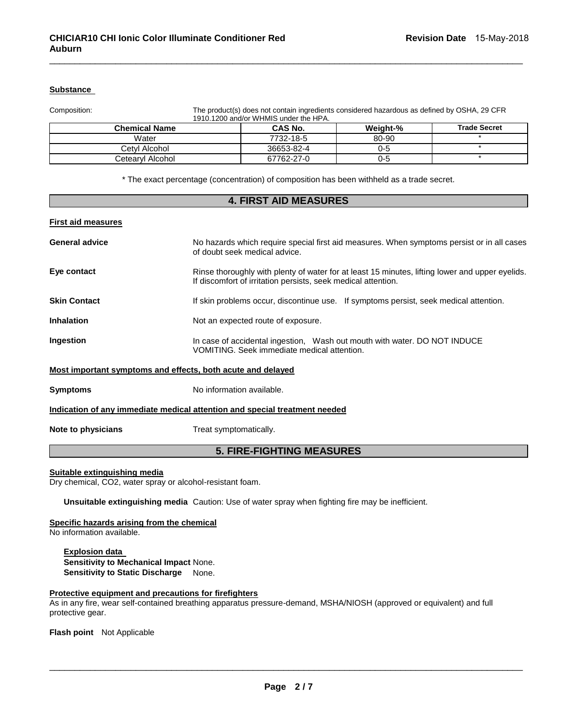### **Substance**

Composition: The product(s) does not contain ingredients considered hazardous as defined by OSHA, 29 CFR 1910.1200 and/or WHMIS under the HPA.

| <b>Chemical Name</b> | <b>CAS No.</b> | Weight-% | <b>Trade Secret</b> |
|----------------------|----------------|----------|---------------------|
| Water                | 7732-18-5      | 80-90    |                     |
| Cetvl Alcohol        | 36653-82-4     | 0-5      |                     |
| Cetearvl Alcohol     | 67762-27-0     | 0-5      |                     |

\_\_\_\_\_\_\_\_\_\_\_\_\_\_\_\_\_\_\_\_\_\_\_\_\_\_\_\_\_\_\_\_\_\_\_\_\_\_\_\_\_\_\_\_\_\_\_\_\_\_\_\_\_\_\_\_\_\_\_\_\_\_\_\_\_\_\_\_\_\_\_\_\_\_\_\_\_\_\_\_\_\_\_\_\_\_\_\_\_\_\_\_\_

\* The exact percentage (concentration) of composition has been withheld as a trade secret.

| <b>4. FIRST AID MEASURES</b>     |                                                                                                                                                                  |  |
|----------------------------------|------------------------------------------------------------------------------------------------------------------------------------------------------------------|--|
| <b>First aid measures</b>        |                                                                                                                                                                  |  |
| <b>General advice</b>            | No hazards which require special first aid measures. When symptoms persist or in all cases<br>of doubt seek medical advice.                                      |  |
| Eye contact                      | Rinse thoroughly with plenty of water for at least 15 minutes, lifting lower and upper eyelids.<br>If discomfort of irritation persists, seek medical attention. |  |
| <b>Skin Contact</b>              | If skin problems occur, discontinue use. If symptoms persist, seek medical attention.                                                                            |  |
| <b>Inhalation</b>                | Not an expected route of exposure.                                                                                                                               |  |
| Ingestion                        | In case of accidental ingestion, Wash out mouth with water. DO NOT INDUCE<br>VOMITING. Seek immediate medical attention.                                         |  |
|                                  | Most important symptoms and effects, both acute and delayed                                                                                                      |  |
| <b>Symptoms</b>                  | No information available.                                                                                                                                        |  |
|                                  | Indication of any immediate medical attention and special treatment needed                                                                                       |  |
| Note to physicians               | Treat symptomatically.                                                                                                                                           |  |
| <b>5. FIRE-FIGHTING MEASURES</b> |                                                                                                                                                                  |  |

#### **Suitable extinguishing media**

Dry chemical, CO2, water spray or alcohol-resistant foam.

**Unsuitable extinguishing media** Caution: Use of water spray when fighting fire may be inefficient.

#### **Specific hazards arising from the chemical**

No information available.

**Explosion data Sensitivity to Mechanical Impact** None. **Sensitivity to Static Discharge** None.

#### **Protective equipment and precautions for firefighters**

As in any fire, wear self-contained breathing apparatus pressure-demand, MSHA/NIOSH (approved or equivalent) and full protective gear.

**Flash point** Not Applicable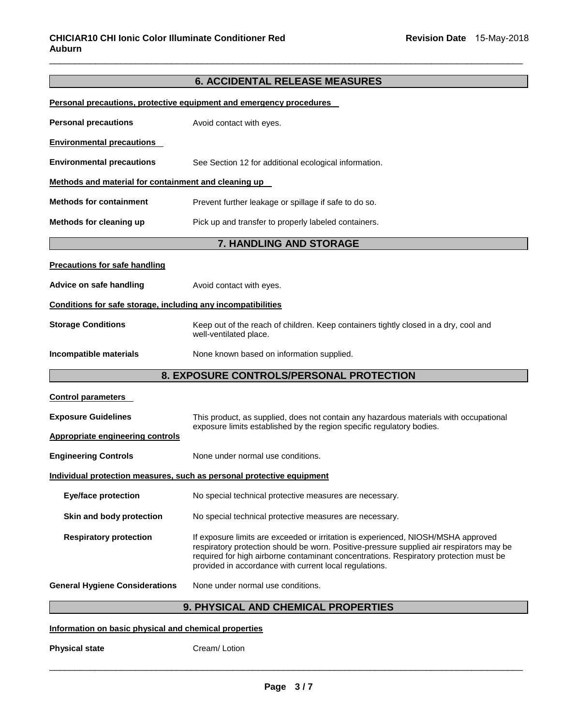# **6. ACCIDENTAL RELEASE MEASURES**

\_\_\_\_\_\_\_\_\_\_\_\_\_\_\_\_\_\_\_\_\_\_\_\_\_\_\_\_\_\_\_\_\_\_\_\_\_\_\_\_\_\_\_\_\_\_\_\_\_\_\_\_\_\_\_\_\_\_\_\_\_\_\_\_\_\_\_\_\_\_\_\_\_\_\_\_\_\_\_\_\_\_\_\_\_\_\_\_\_\_\_\_\_

|                                                              | Personal precautions, protective equipment and emergency procedures                                                                                                                                                                                                                                                              |
|--------------------------------------------------------------|----------------------------------------------------------------------------------------------------------------------------------------------------------------------------------------------------------------------------------------------------------------------------------------------------------------------------------|
| <b>Personal precautions</b>                                  | Avoid contact with eyes.                                                                                                                                                                                                                                                                                                         |
| <b>Environmental precautions</b>                             |                                                                                                                                                                                                                                                                                                                                  |
| <b>Environmental precautions</b>                             | See Section 12 for additional ecological information.                                                                                                                                                                                                                                                                            |
| Methods and material for containment and cleaning up         |                                                                                                                                                                                                                                                                                                                                  |
| <b>Methods for containment</b>                               | Prevent further leakage or spillage if safe to do so.                                                                                                                                                                                                                                                                            |
| Methods for cleaning up                                      | Pick up and transfer to properly labeled containers.                                                                                                                                                                                                                                                                             |
|                                                              | 7. HANDLING AND STORAGE                                                                                                                                                                                                                                                                                                          |
| <b>Precautions for safe handling</b>                         |                                                                                                                                                                                                                                                                                                                                  |
| Advice on safe handling                                      | Avoid contact with eyes.                                                                                                                                                                                                                                                                                                         |
| Conditions for safe storage, including any incompatibilities |                                                                                                                                                                                                                                                                                                                                  |
| <b>Storage Conditions</b>                                    | Keep out of the reach of children. Keep containers tightly closed in a dry, cool and<br>well-ventilated place.                                                                                                                                                                                                                   |
| Incompatible materials                                       | None known based on information supplied.                                                                                                                                                                                                                                                                                        |
|                                                              | 8. EXPOSURE CONTROLS/PERSONAL PROTECTION                                                                                                                                                                                                                                                                                         |
| <b>Control parameters</b>                                    |                                                                                                                                                                                                                                                                                                                                  |
| <b>Exposure Guidelines</b>                                   | This product, as supplied, does not contain any hazardous materials with occupational                                                                                                                                                                                                                                            |
| <b>Appropriate engineering controls</b>                      | exposure limits established by the region specific regulatory bodies.                                                                                                                                                                                                                                                            |
| <b>Engineering Controls</b>                                  | None under normal use conditions.                                                                                                                                                                                                                                                                                                |
|                                                              | Individual protection measures, such as personal protective equipment                                                                                                                                                                                                                                                            |
| <b>Eye/face protection</b>                                   | No special technical protective measures are necessary.                                                                                                                                                                                                                                                                          |
| Skin and body protection                                     | No special technical protective measures are necessary.                                                                                                                                                                                                                                                                          |
| <b>Respiratory protection</b>                                | If exposure limits are exceeded or irritation is experienced, NIOSH/MSHA approved<br>respiratory protection should be worn. Positive-pressure supplied air respirators may be<br>required for high airborne contaminant concentrations. Respiratory protection must be<br>provided in accordance with current local regulations. |
| <b>General Hygiene Considerations</b>                        | None under normal use conditions.                                                                                                                                                                                                                                                                                                |
|                                                              | 9. PHYSICAL AND CHEMICAL PROPERTIES                                                                                                                                                                                                                                                                                              |

#### **Information on basic physical and chemical properties**

**Physical state Cream/ Lotion**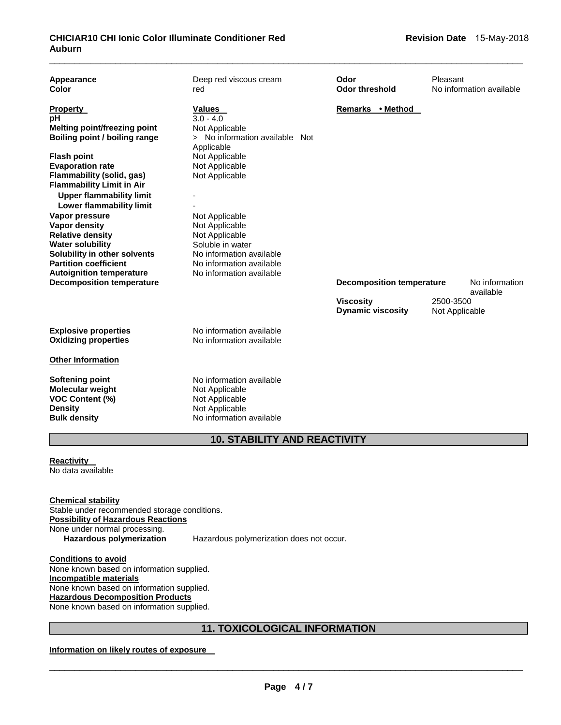#### **CHICIAR10 CHI Ionic Color Illuminate Conditioner Red Auburn**  \_\_\_\_\_\_\_\_\_\_\_\_\_\_\_\_\_\_\_\_\_\_\_\_\_\_\_\_\_\_\_\_\_\_\_\_\_\_\_\_\_\_\_\_\_\_\_\_\_\_\_\_\_\_\_\_\_\_\_\_\_\_\_\_\_\_\_\_\_\_\_\_\_\_\_\_\_\_\_\_\_\_\_\_\_\_\_\_\_\_\_\_\_

| Appearance<br>Color                                                                                                                                                                                                                                                                                                                                                                                                                                                                                            | Deep red viscous cream<br>red                                                                                                                                                                                                                                                                               | Odor<br><b>Odor threshold</b>                        | Pleasant<br>No information available |
|----------------------------------------------------------------------------------------------------------------------------------------------------------------------------------------------------------------------------------------------------------------------------------------------------------------------------------------------------------------------------------------------------------------------------------------------------------------------------------------------------------------|-------------------------------------------------------------------------------------------------------------------------------------------------------------------------------------------------------------------------------------------------------------------------------------------------------------|------------------------------------------------------|--------------------------------------|
| <b>Property</b><br>pН<br>Melting point/freezing point<br>Boiling point / boiling range<br><b>Flash point</b><br><b>Evaporation rate</b><br>Flammability (solid, gas)<br><b>Flammability Limit in Air</b><br><b>Upper flammability limit</b><br>Lower flammability limit<br>Vapor pressure<br><b>Vapor density</b><br><b>Relative density</b><br><b>Water solubility</b><br>Solubility in other solvents<br><b>Partition coefficient</b><br><b>Autoignition temperature</b><br><b>Decomposition temperature</b> | Values<br>$3.0 - 4.0$<br>Not Applicable<br>> No information available Not<br>Applicable<br>Not Applicable<br>Not Applicable<br>Not Applicable<br>Not Applicable<br>Not Applicable<br>Not Applicable<br>Soluble in water<br>No information available<br>No information available<br>No information available | Remarks • Method<br><b>Decomposition temperature</b> | No information<br>available          |
|                                                                                                                                                                                                                                                                                                                                                                                                                                                                                                                |                                                                                                                                                                                                                                                                                                             | <b>Viscosity</b><br><b>Dynamic viscosity</b>         | 2500-3500<br>Not Applicable          |
| <b>Explosive properties</b><br><b>Oxidizing properties</b>                                                                                                                                                                                                                                                                                                                                                                                                                                                     | No information available<br>No information available                                                                                                                                                                                                                                                        |                                                      |                                      |
| <b>Other Information</b>                                                                                                                                                                                                                                                                                                                                                                                                                                                                                       |                                                                                                                                                                                                                                                                                                             |                                                      |                                      |
| <b>Softening point</b><br><b>Molecular weight</b><br><b>VOC Content (%)</b><br><b>Density</b><br><b>Bulk density</b>                                                                                                                                                                                                                                                                                                                                                                                           | No information available<br>Not Applicable<br>Not Applicable<br>Not Applicable<br>No information available                                                                                                                                                                                                  |                                                      |                                      |

# **10. STABILITY AND REACTIVITY**

**Reactivity**  No data available

**Chemical stability** Stable under recommended storage conditions. **Possibility of Hazardous Reactions** None under normal processing.<br>Hazardous polymerization **Hazardous polymerization** Hazardous polymerization does not occur.

**Conditions to avoid** None known based on information supplied. **Incompatible materials** None known based on information supplied. **Hazardous Decomposition Products** None known based on information supplied.

# **11. TOXICOLOGICAL INFORMATION**

### **Information on likely routes of exposure**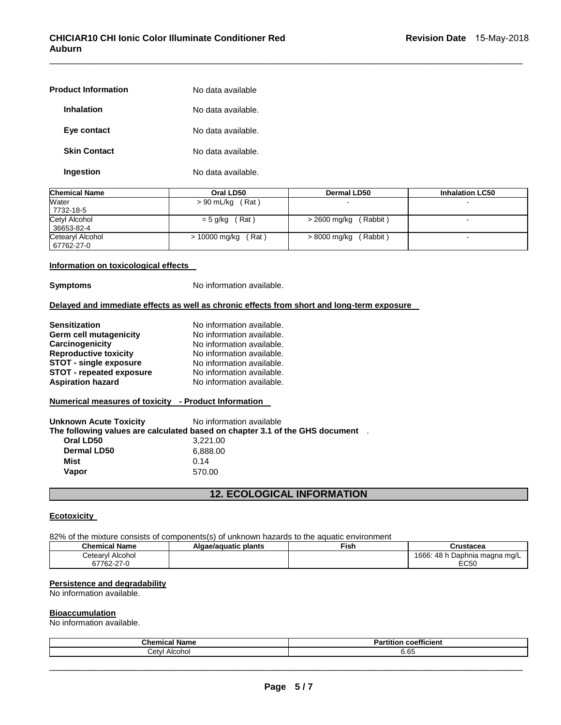| <b>Product Information</b> | No data available  |
|----------------------------|--------------------|
| <b>Inhalation</b>          | No data available. |
| Eye contact                | No data available. |
| <b>Skin Contact</b>        | No data available. |
| Ingestion                  | No data available. |

| <b>Chemical Name</b>           | Oral LD50              | Dermal LD50              | <b>Inhalation LC50</b> |
|--------------------------------|------------------------|--------------------------|------------------------|
| Water<br>7732-18-5             | $> 90$ mL/kg (Rat)     |                          |                        |
| Cetyl Alcohol<br>36653-82-4    | $= 5$ g/kg (Rat)       | $>$ 2600 mg/kg (Rabbit)  |                        |
| Cetearyl Alcohol<br>67762-27-0 | > 10000 mg/kg<br>(Rat) | (Rabbit)<br>> 8000 mg/kg |                        |

\_\_\_\_\_\_\_\_\_\_\_\_\_\_\_\_\_\_\_\_\_\_\_\_\_\_\_\_\_\_\_\_\_\_\_\_\_\_\_\_\_\_\_\_\_\_\_\_\_\_\_\_\_\_\_\_\_\_\_\_\_\_\_\_\_\_\_\_\_\_\_\_\_\_\_\_\_\_\_\_\_\_\_\_\_\_\_\_\_\_\_\_\_

#### **Information on toxicological effects**

**Symptoms** No information available.

#### **Delayed and immediate effects as well as chronic effects from short and long-term exposure**

| Sensitization                   | No information available. |
|---------------------------------|---------------------------|
| Germ cell mutagenicity          | No information available. |
| <b>Carcinogenicity</b>          | No information available. |
| <b>Reproductive toxicity</b>    | No information available. |
| <b>STOT - single exposure</b>   | No information available. |
| <b>STOT - repeated exposure</b> | No information available. |
| <b>Aspiration hazard</b>        | No information available. |

#### **Numerical measures of toxicity - Product Information**

| <b>Unknown Acute Toxicity</b> | No information available                                                       |
|-------------------------------|--------------------------------------------------------------------------------|
|                               | The following values are calculated based on chapter 3.1 of the GHS document . |
| Oral LD50                     | 3.221.00                                                                       |
| <b>Dermal LD50</b>            | 6.888.00                                                                       |
| Mist                          | 0.14                                                                           |
| Vapor                         | 570.00                                                                         |

# **12. ECOLOGICAL INFORMATION**

#### **Ecotoxicity**

82% of the mixture consists of components(s) of unknown hazards to the aquatic environment

| <b>Chemical Name</b>                         | Algae/aguatic plants | Fish | Crustacea                           |
|----------------------------------------------|----------------------|------|-------------------------------------|
| Cetearyl<br>Alcohol                          |                      |      | 1666.<br>48 h<br>Daphnia magna mg/L |
| ົ <sup>2</sup> 7762-27<br>$\sim$ $\sim$<br>. |                      |      | <b>EC50</b>                         |

#### **Persistence and degradability**

No information available.

#### **Bioaccumulation**

No information available.

| hemical Nameٽ | <br>.<br>∍∽<br>coefficient<br>tition<br>- 81 |
|---------------|----------------------------------------------|
| ا∨Cet         | $\sim$ $\sim$                                |
| Alcohol       | ხ.ხ5                                         |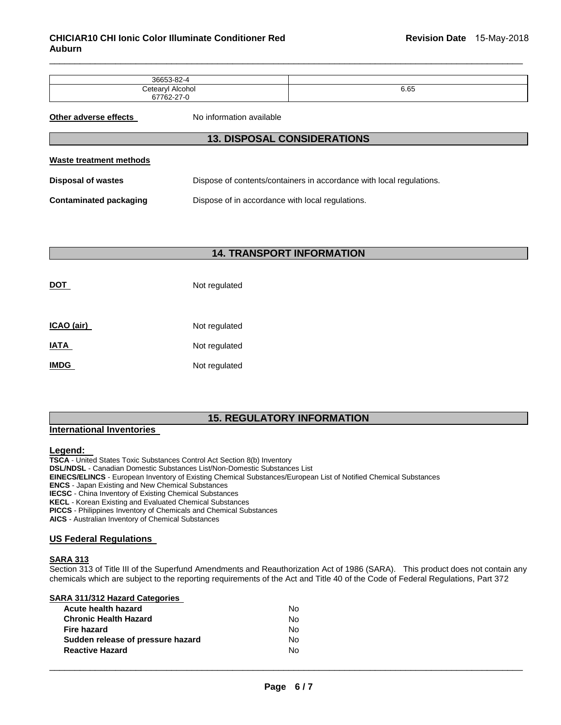| $\sim$<br>$26652$                 |      |
|-----------------------------------|------|
| Alcohol<br>`∆t∆or<br><b>Octom</b> | 6.65 |
| --<br>$\overline{\phantom{a}}$    |      |

\_\_\_\_\_\_\_\_\_\_\_\_\_\_\_\_\_\_\_\_\_\_\_\_\_\_\_\_\_\_\_\_\_\_\_\_\_\_\_\_\_\_\_\_\_\_\_\_\_\_\_\_\_\_\_\_\_\_\_\_\_\_\_\_\_\_\_\_\_\_\_\_\_\_\_\_\_\_\_\_\_\_\_\_\_\_\_\_\_\_\_\_\_

**Other adverse effects** No information available

## **13. DISPOSAL CONSIDERATIONS**

| Waste treatment methods |  |
|-------------------------|--|
|                         |  |

**Disposal of wastes** Dispose of contents/containers in accordance with local regulations.

**Contaminated packaging <b>Dispose** of in accordance with local regulations.

# **14. TRANSPORT INFORMATION**

| DOT                | Not regulated |
|--------------------|---------------|
|                    |               |
| <u>ICAO (air) </u> | Not regulated |
| <u>IATA</u>        | Not regulated |
| IMDG               | Not regulated |

# **15. REGULATORY INFORMATION**

#### **International Inventories**

#### **Legend:**

**TSCA** - United States Toxic Substances Control Act Section 8(b) Inventory **DSL/NDSL** - Canadian Domestic Substances List/Non-Domestic Substances List **EINECS/ELINCS** - European Inventory of Existing Chemical Substances/European List of Notified Chemical Substances **ENCS** - Japan Existing and New Chemical Substances **IECSC** - China Inventory of Existing Chemical Substances **KECL** - Korean Existing and Evaluated Chemical Substances **PICCS** - Philippines Inventory of Chemicals and Chemical Substances

**AICS** - Australian Inventory of Chemical Substances

#### **US Federal Regulations**

#### **SARA 313**

Section 313 of Title III of the Superfund Amendments and Reauthorization Act of 1986 (SARA). This product does not contain any chemicals which are subject to the reporting requirements of the Act and Title 40 of the Code of Federal Regulations, Part 372

| SARA 311/312 Hazard Categories    |    |
|-----------------------------------|----|
| Acute health hazard               | N٥ |
| <b>Chronic Health Hazard</b>      | Nο |
| Fire hazard                       | Nο |
| Sudden release of pressure hazard | Nο |
| <b>Reactive Hazard</b>            | N٥ |
|                                   |    |